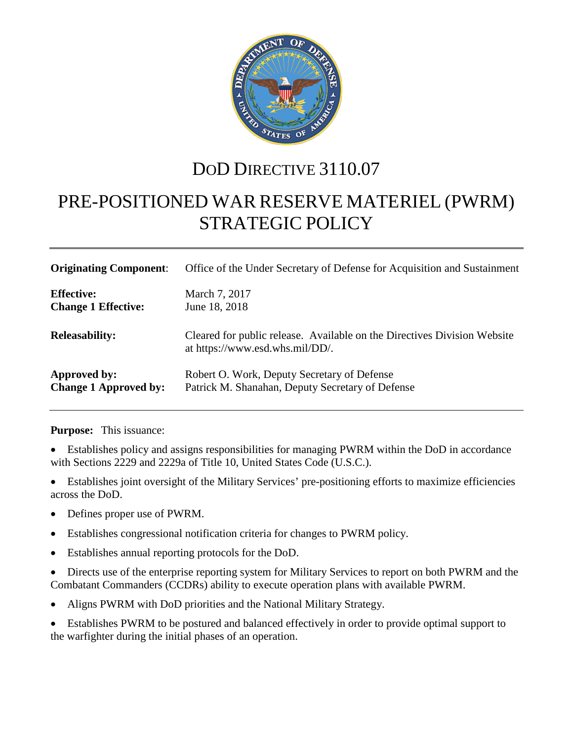

## DOD DIRECTIVE 3110.07

# PRE-POSITIONED WAR RESERVE MATERIEL (PWRM) STRATEGIC POLICY

| <b>Originating Component:</b> | Office of the Under Secretary of Defense for Acquisition and Sustainment                                    |
|-------------------------------|-------------------------------------------------------------------------------------------------------------|
| <b>Effective:</b>             | March 7, 2017                                                                                               |
| <b>Change 1 Effective:</b>    | June 18, 2018                                                                                               |
| <b>Releasability:</b>         | Cleared for public release. Available on the Directives Division Website<br>at https://www.esd.whs.mil/DD/. |
| Approved by:                  | Robert O. Work, Deputy Secretary of Defense                                                                 |
| <b>Change 1 Approved by:</b>  | Patrick M. Shanahan, Deputy Secretary of Defense                                                            |

**Purpose:** This issuance:

- Establishes policy and assigns responsibilities for managing PWRM within the DoD in accordance with Sections 2229 and 2229a of Title 10, United States Code (U.S.C.).
- Establishes joint oversight of the Military Services' pre-positioning efforts to maximize efficiencies across the DoD.
- Defines proper use of PWRM.
- Establishes congressional notification criteria for changes to PWRM policy.
- Establishes annual reporting protocols for the DoD.
- Directs use of the enterprise reporting system for Military Services to report on both PWRM and the Combatant Commanders (CCDRs) ability to execute operation plans with available PWRM.
- Aligns PWRM with DoD priorities and the National Military Strategy.
- Establishes PWRM to be postured and balanced effectively in order to provide optimal support to the warfighter during the initial phases of an operation.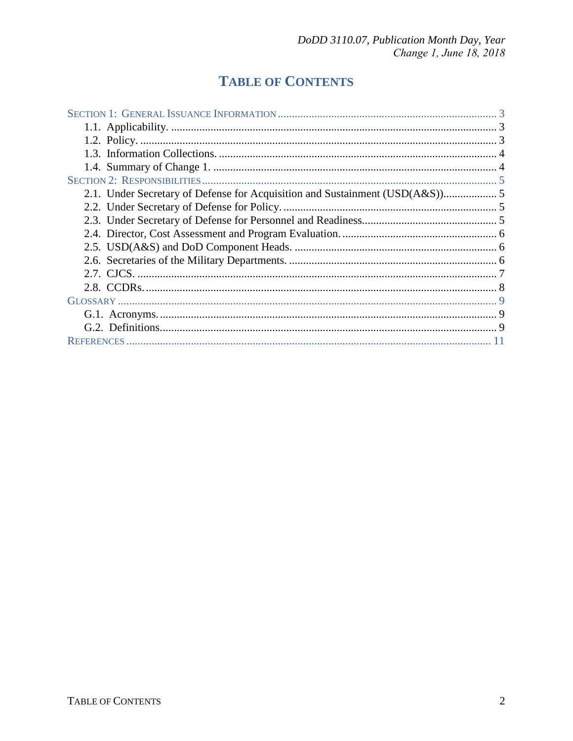## **TABLE OF CONTENTS**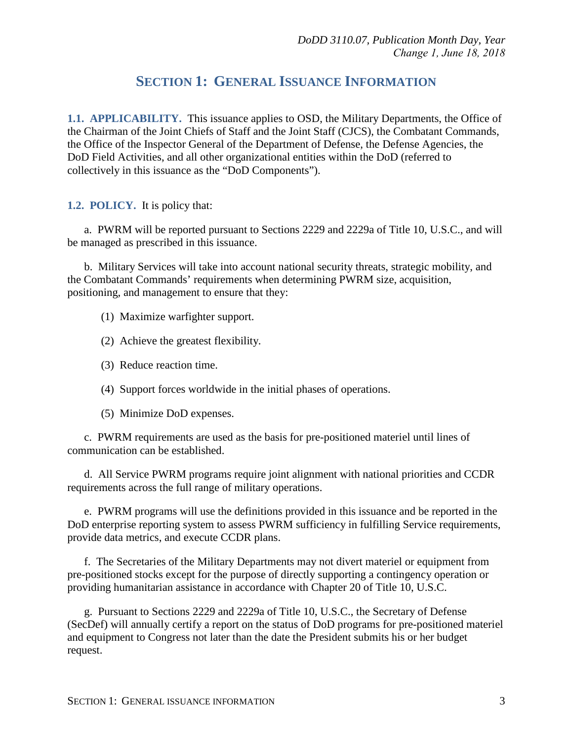### **SECTION 1: GENERAL ISSUANCE INFORMATION**

<span id="page-2-1"></span><span id="page-2-0"></span>**1.1. APPLICABILITY.** This issuance applies to OSD, the Military Departments, the Office of the Chairman of the Joint Chiefs of Staff and the Joint Staff (CJCS), the Combatant Commands, the Office of the Inspector General of the Department of Defense, the Defense Agencies, the DoD Field Activities, and all other organizational entities within the DoD (referred to collectively in this issuance as the "DoD Components").

<span id="page-2-2"></span>**1.2. POLICY.** It is policy that:

a. PWRM will be reported pursuant to Sections 2229 and 2229a of Title 10, U.S.C., and will be managed as prescribed in this issuance.

b. Military Services will take into account national security threats, strategic mobility, and the Combatant Commands' requirements when determining PWRM size, acquisition, positioning, and management to ensure that they:

- (1) Maximize warfighter support.
- (2) Achieve the greatest flexibility.
- (3) Reduce reaction time.
- (4) Support forces worldwide in the initial phases of operations.
- (5) Minimize DoD expenses.

c. PWRM requirements are used as the basis for pre-positioned materiel until lines of communication can be established.

d. All Service PWRM programs require joint alignment with national priorities and CCDR requirements across the full range of military operations.

e. PWRM programs will use the definitions provided in this issuance and be reported in the DoD enterprise reporting system to assess PWRM sufficiency in fulfilling Service requirements, provide data metrics, and execute CCDR plans.

f. The Secretaries of the Military Departments may not divert materiel or equipment from pre-positioned stocks except for the purpose of directly supporting a contingency operation or providing humanitarian assistance in accordance with Chapter 20 of Title 10, U.S.C.

g. Pursuant to Sections 2229 and 2229a of Title 10, U.S.C., the Secretary of Defense (SecDef) will annually certify a report on the status of DoD programs for pre-positioned materiel and equipment to Congress not later than the date the President submits his or her budget request.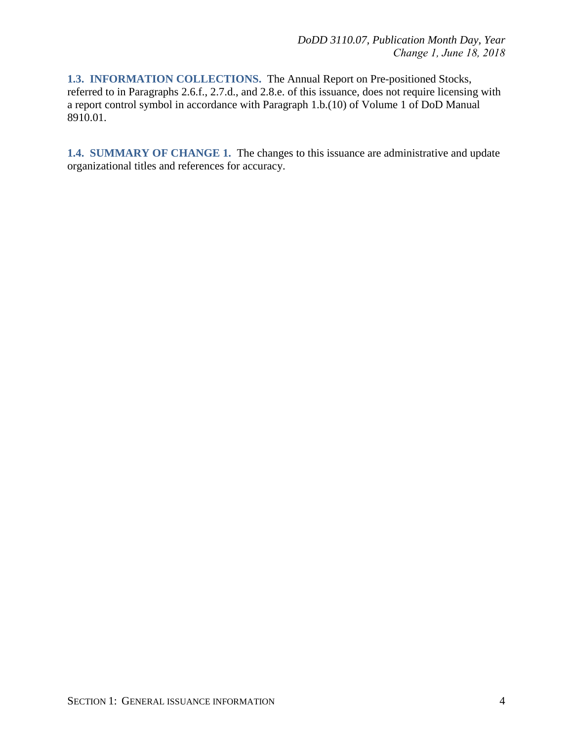<span id="page-3-0"></span>**1.3. INFORMATION COLLECTIONS.** The Annual Report on Pre-positioned Stocks, referred to in Paragraphs 2.6.f., 2.7.d., and 2.8.e. of this issuance, does not require licensing with a report control symbol in accordance with Paragraph 1.b.(10) of Volume 1 of DoD Manual 8910.01.

<span id="page-3-1"></span>**1.4. SUMMARY OF CHANGE 1.** The changes to this issuance are administrative and update organizational titles and references for accuracy.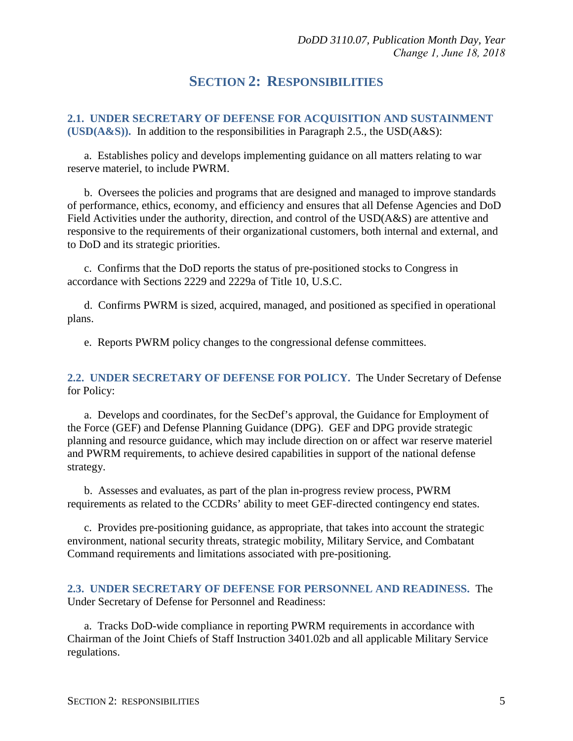#### **SECTION 2: RESPONSIBILITIES**

<span id="page-4-1"></span><span id="page-4-0"></span>**2.1. UNDER SECRETARY OF DEFENSE FOR ACQUISITION AND SUSTAINMENT (USD(** $A&S$ **)).** In addition to the responsibilities in Paragraph 2.5., the USD( $A&S$ ):

a. Establishes policy and develops implementing guidance on all matters relating to war reserve materiel, to include PWRM.

b. Oversees the policies and programs that are designed and managed to improve standards of performance, ethics, economy, and efficiency and ensures that all Defense Agencies and DoD Field Activities under the authority, direction, and control of the USD(A&S) are attentive and responsive to the requirements of their organizational customers, both internal and external, and to DoD and its strategic priorities.

c. Confirms that the DoD reports the status of pre-positioned stocks to Congress in accordance with Sections 2229 and 2229a of Title 10, U.S.C.

d. Confirms PWRM is sized, acquired, managed, and positioned as specified in operational plans.

e. Reports PWRM policy changes to the congressional defense committees.

<span id="page-4-2"></span>**2.2. UNDER SECRETARY OF DEFENSE FOR POLICY.** The Under Secretary of Defense for Policy:

a. Develops and coordinates, for the SecDef's approval, the Guidance for Employment of the Force (GEF) and Defense Planning Guidance (DPG). GEF and DPG provide strategic planning and resource guidance, which may include direction on or affect war reserve materiel and PWRM requirements, to achieve desired capabilities in support of the national defense strategy.

b. Assesses and evaluates, as part of the plan in-progress review process, PWRM requirements as related to the CCDRs' ability to meet GEF-directed contingency end states.

c. Provides pre-positioning guidance, as appropriate, that takes into account the strategic environment, national security threats, strategic mobility, Military Service, and Combatant Command requirements and limitations associated with pre-positioning.

<span id="page-4-3"></span>**2.3. UNDER SECRETARY OF DEFENSE FOR PERSONNEL AND READINESS.** The Under Secretary of Defense for Personnel and Readiness:

a. Tracks DoD-wide compliance in reporting PWRM requirements in accordance with Chairman of the Joint Chiefs of Staff Instruction 3401.02b and all applicable Military Service regulations.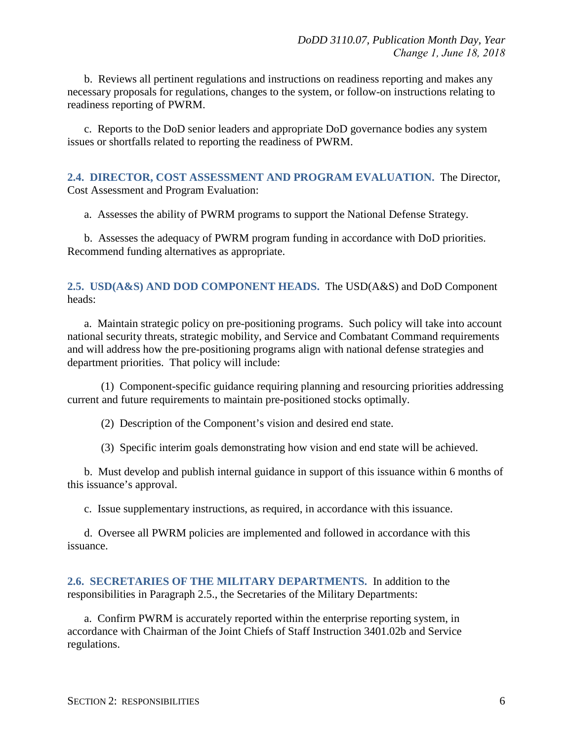b. Reviews all pertinent regulations and instructions on readiness reporting and makes any necessary proposals for regulations, changes to the system, or follow-on instructions relating to readiness reporting of PWRM.

c. Reports to the DoD senior leaders and appropriate DoD governance bodies any system issues or shortfalls related to reporting the readiness of PWRM.

<span id="page-5-0"></span>**2.4. DIRECTOR, COST ASSESSMENT AND PROGRAM EVALUATION.** The Director, Cost Assessment and Program Evaluation:

a. Assesses the ability of PWRM programs to support the National Defense Strategy.

b. Assesses the adequacy of PWRM program funding in accordance with DoD priorities. Recommend funding alternatives as appropriate.

#### <span id="page-5-1"></span>**2.5. USD(A&S) AND DOD COMPONENT HEADS.** The USD(A&S) and DoD Component heads:

a. Maintain strategic policy on pre-positioning programs. Such policy will take into account national security threats, strategic mobility, and Service and Combatant Command requirements and will address how the pre-positioning programs align with national defense strategies and department priorities. That policy will include:

(1) Component-specific guidance requiring planning and resourcing priorities addressing current and future requirements to maintain pre-positioned stocks optimally.

(2) Description of the Component's vision and desired end state.

(3) Specific interim goals demonstrating how vision and end state will be achieved.

b. Must develop and publish internal guidance in support of this issuance within 6 months of this issuance's approval.

c. Issue supplementary instructions, as required, in accordance with this issuance.

d. Oversee all PWRM policies are implemented and followed in accordance with this issuance.

<span id="page-5-2"></span>**2.6. SECRETARIES OF THE MILITARY DEPARTMENTS.** In addition to the responsibilities in Paragraph 2.5., the Secretaries of the Military Departments:

a. Confirm PWRM is accurately reported within the enterprise reporting system, in accordance with Chairman of the Joint Chiefs of Staff Instruction 3401.02b and Service regulations.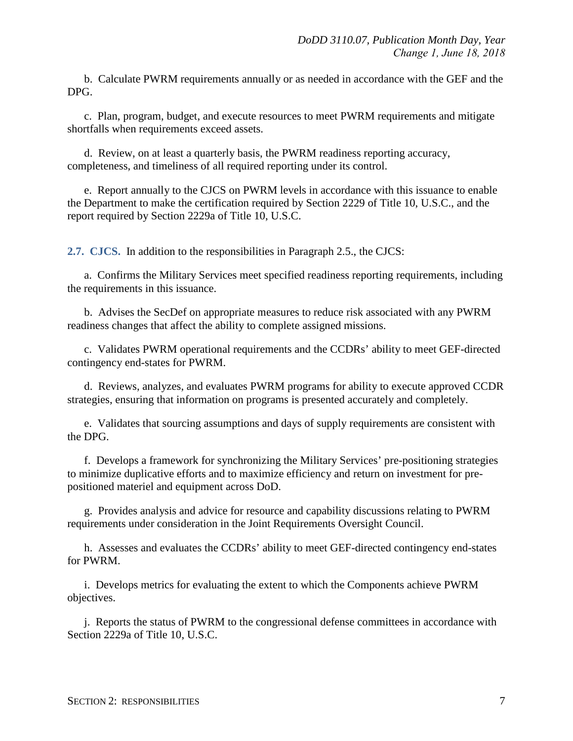b. Calculate PWRM requirements annually or as needed in accordance with the GEF and the DPG.

c. Plan, program, budget, and execute resources to meet PWRM requirements and mitigate shortfalls when requirements exceed assets.

d. Review, on at least a quarterly basis, the PWRM readiness reporting accuracy, completeness, and timeliness of all required reporting under its control.

e. Report annually to the CJCS on PWRM levels in accordance with this issuance to enable the Department to make the certification required by Section 2229 of Title 10, U.S.C., and the report required by Section 2229a of Title 10, U.S.C.

<span id="page-6-0"></span>**2.7. CJCS.** In addition to the responsibilities in Paragraph 2.5., the CJCS:

a. Confirms the Military Services meet specified readiness reporting requirements, including the requirements in this issuance.

b. Advises the SecDef on appropriate measures to reduce risk associated with any PWRM readiness changes that affect the ability to complete assigned missions.

c. Validates PWRM operational requirements and the CCDRs' ability to meet GEF-directed contingency end-states for PWRM.

d. Reviews, analyzes, and evaluates PWRM programs for ability to execute approved CCDR strategies, ensuring that information on programs is presented accurately and completely.

e. Validates that sourcing assumptions and days of supply requirements are consistent with the DPG.

f. Develops a framework for synchronizing the Military Services' pre-positioning strategies to minimize duplicative efforts and to maximize efficiency and return on investment for prepositioned materiel and equipment across DoD.

g. Provides analysis and advice for resource and capability discussions relating to PWRM requirements under consideration in the Joint Requirements Oversight Council.

h. Assesses and evaluates the CCDRs' ability to meet GEF-directed contingency end-states for PWRM.

i. Develops metrics for evaluating the extent to which the Components achieve PWRM objectives.

j. Reports the status of PWRM to the congressional defense committees in accordance with Section 2229a of Title 10, U.S.C.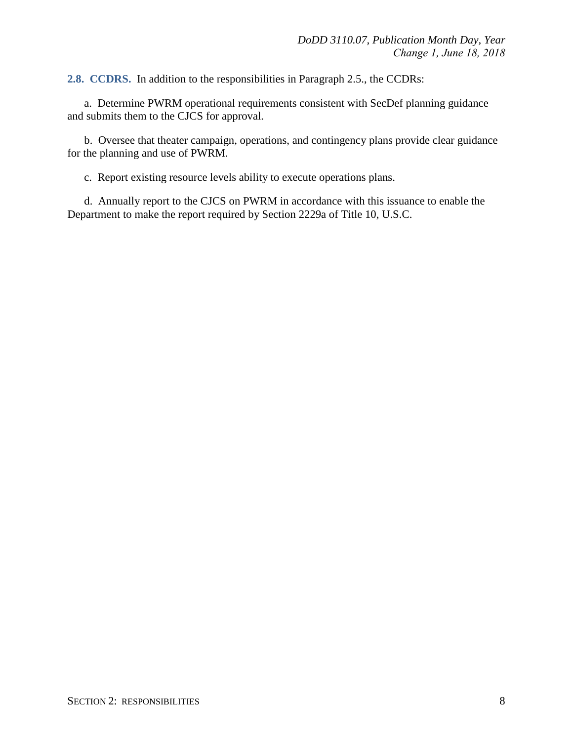<span id="page-7-0"></span>**2.8. CCDRS.** In addition to the responsibilities in Paragraph 2.5., the CCDRs:

a. Determine PWRM operational requirements consistent with SecDef planning guidance and submits them to the CJCS for approval.

b. Oversee that theater campaign, operations, and contingency plans provide clear guidance for the planning and use of PWRM.

c. Report existing resource levels ability to execute operations plans.

d. Annually report to the CJCS on PWRM in accordance with this issuance to enable the Department to make the report required by Section 2229a of Title 10, U.S.C.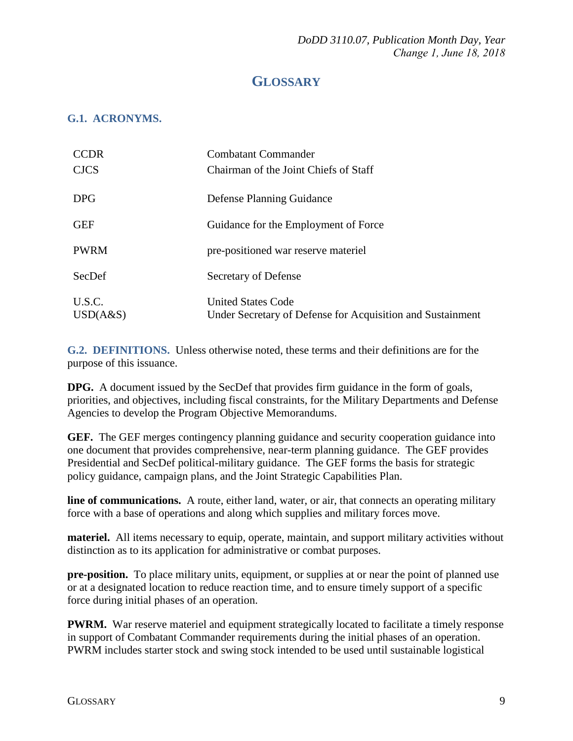### **GLOSSARY**

#### <span id="page-8-1"></span><span id="page-8-0"></span>**G.1. ACRONYMS.**

| <b>CCDR</b> | <b>Combatant Commander</b>                                 |
|-------------|------------------------------------------------------------|
| <b>CJCS</b> | Chairman of the Joint Chiefs of Staff                      |
| <b>DPG</b>  | Defense Planning Guidance                                  |
| <b>GEF</b>  | Guidance for the Employment of Force                       |
| <b>PWRM</b> | pre-positioned war reserve materiel                        |
| SecDef      | Secretary of Defense                                       |
| U.S.C.      | <b>United States Code</b>                                  |
| USD(A&S)    | Under Secretary of Defense for Acquisition and Sustainment |

<span id="page-8-2"></span>**G.2. DEFINITIONS.** Unless otherwise noted, these terms and their definitions are for the purpose of this issuance.

**DPG.** A document issued by the SecDef that provides firm guidance in the form of goals, priorities, and objectives, including fiscal constraints, for the Military Departments and Defense Agencies to develop the Program Objective Memorandums.

**GEF.** The GEF merges contingency planning guidance and security cooperation guidance into one document that provides comprehensive, near-term planning guidance. The GEF provides Presidential and SecDef political-military guidance. The GEF forms the basis for strategic policy guidance, campaign plans, and the Joint Strategic Capabilities Plan.

**line of communications.** A route, either land, water, or air, that connects an operating military force with a base of operations and along which supplies and military forces move.

**materiel.** All items necessary to equip, operate, maintain, and support military activities without distinction as to its application for administrative or combat purposes.

**pre-position.** To place military units, equipment, or supplies at or near the point of planned use or at a designated location to reduce reaction time, and to ensure timely support of a specific force during initial phases of an operation.

**PWRM.** War reserve materiel and equipment strategically located to facilitate a timely response in support of Combatant Commander requirements during the initial phases of an operation. PWRM includes starter stock and swing stock intended to be used until sustainable logistical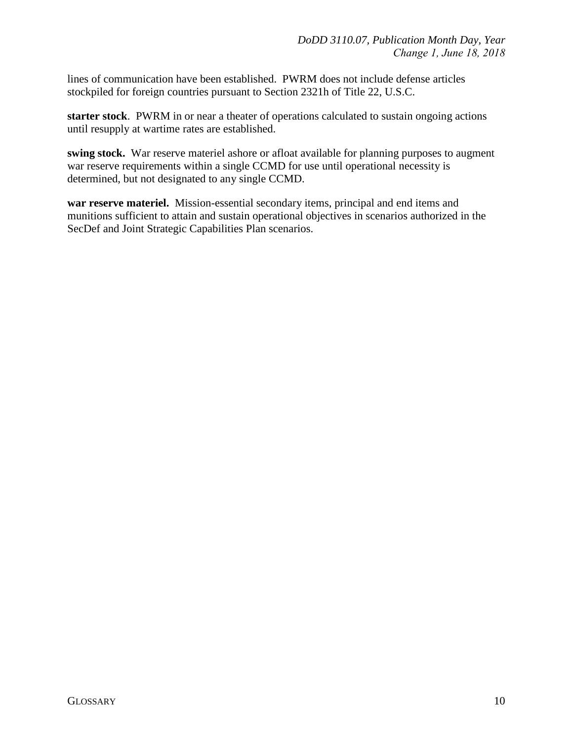lines of communication have been established. PWRM does not include defense articles stockpiled for foreign countries pursuant to Section 2321h of Title 22, U.S.C.

**starter stock**. PWRM in or near a theater of operations calculated to sustain ongoing actions until resupply at wartime rates are established.

**swing stock.** War reserve materiel ashore or afloat available for planning purposes to augment war reserve requirements within a single CCMD for use until operational necessity is determined, but not designated to any single CCMD.

**war reserve materiel.** Mission-essential secondary items, principal and end items and munitions sufficient to attain and sustain operational objectives in scenarios authorized in the SecDef and Joint Strategic Capabilities Plan scenarios.